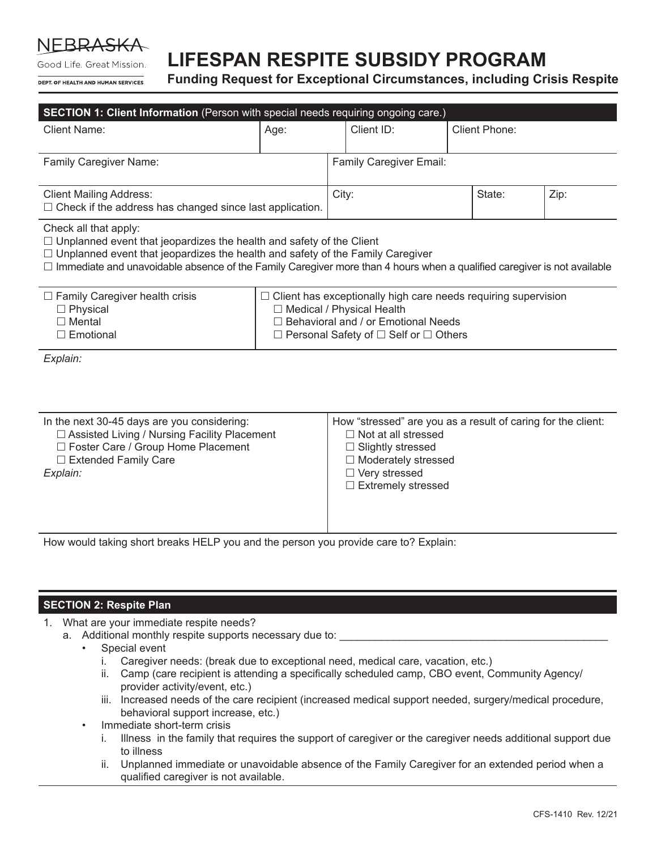NFRRA

Good Life. Great Mission. DEPT OF HEALTH AND HUMAN SERVICES

# **LIFESPAN RESPITE SUBSIDY PROGRAM**

**Funding Request for Exceptional Circumstances, including Crisis Respite**

| SECTION 1: Client Information (Person with special needs requiring ongoing care.)                                                                                                                                                                                                                                               |                                                                                                                                                                                                         |                                                                                                                                                                                                 |            |  |                      |      |
|---------------------------------------------------------------------------------------------------------------------------------------------------------------------------------------------------------------------------------------------------------------------------------------------------------------------------------|---------------------------------------------------------------------------------------------------------------------------------------------------------------------------------------------------------|-------------------------------------------------------------------------------------------------------------------------------------------------------------------------------------------------|------------|--|----------------------|------|
| <b>Client Name:</b>                                                                                                                                                                                                                                                                                                             | Age:                                                                                                                                                                                                    |                                                                                                                                                                                                 | Client ID: |  | <b>Client Phone:</b> |      |
| <b>Family Caregiver Name:</b>                                                                                                                                                                                                                                                                                                   |                                                                                                                                                                                                         | <b>Family Caregiver Email:</b>                                                                                                                                                                  |            |  |                      |      |
| <b>Client Mailing Address:</b><br>$\Box$ Check if the address has changed since last application.                                                                                                                                                                                                                               |                                                                                                                                                                                                         |                                                                                                                                                                                                 | City:      |  | State:               | Zip: |
| Check all that apply:<br>$\Box$ Unplanned event that jeopardizes the health and safety of the Client<br>$\Box$ Unplanned event that jeopardizes the health and safety of the Family Caregiver<br>$\Box$ Immediate and unavoidable absence of the Family Caregiver more than 4 hours when a qualified caregiver is not available |                                                                                                                                                                                                         |                                                                                                                                                                                                 |            |  |                      |      |
| $\Box$ Family Caregiver health crisis<br>$\Box$ Physical<br>$\Box$ Mental<br>$\square$ Emotional                                                                                                                                                                                                                                | $\Box$ Client has exceptionally high care needs requiring supervision<br>□ Medical / Physical Health<br>□ Behavioral and / or Emotional Needs<br>$\Box$ Personal Safety of $\Box$ Self or $\Box$ Others |                                                                                                                                                                                                 |            |  |                      |      |
| Explain:                                                                                                                                                                                                                                                                                                                        |                                                                                                                                                                                                         |                                                                                                                                                                                                 |            |  |                      |      |
| In the next 30-45 days are you considering:<br>□ Assisted Living / Nursing Facility Placement<br>□ Foster Care / Group Home Placement<br>$\Box$ Extended Family Care<br>Explain:                                                                                                                                                |                                                                                                                                                                                                         | How "stressed" are you as a result of caring for the client:<br>$\Box$ Not at all stressed<br>□ Slightly stressed<br>$\Box$ Moderately stressed<br>□ Very stressed<br>$\Box$ Extremely stressed |            |  |                      |      |

How would taking short breaks HELP you and the person you provide care to? Explain:

### **SECTION 2: Respite Plan**

- 1. What are your immediate respite needs?
	- a. Additional monthly respite supports necessary due to:
		- Special event
			- i. Caregiver needs: (break due to exceptional need, medical care, vacation, etc.)
			- ii. Camp (care recipient is attending a specifically scheduled camp, CBO event, Community Agency/ provider activity/event, etc.)
			- iii. Increased needs of the care recipient (increased medical support needed, surgery/medical procedure, behavioral support increase, etc.)
		- Immediate short-term crisis
			- i. Illness in the family that requires the support of caregiver or the caregiver needs additional support due to illness
			- ii. Unplanned immediate or unavoidable absence of the Family Caregiver for an extended period when a qualified caregiver is not available.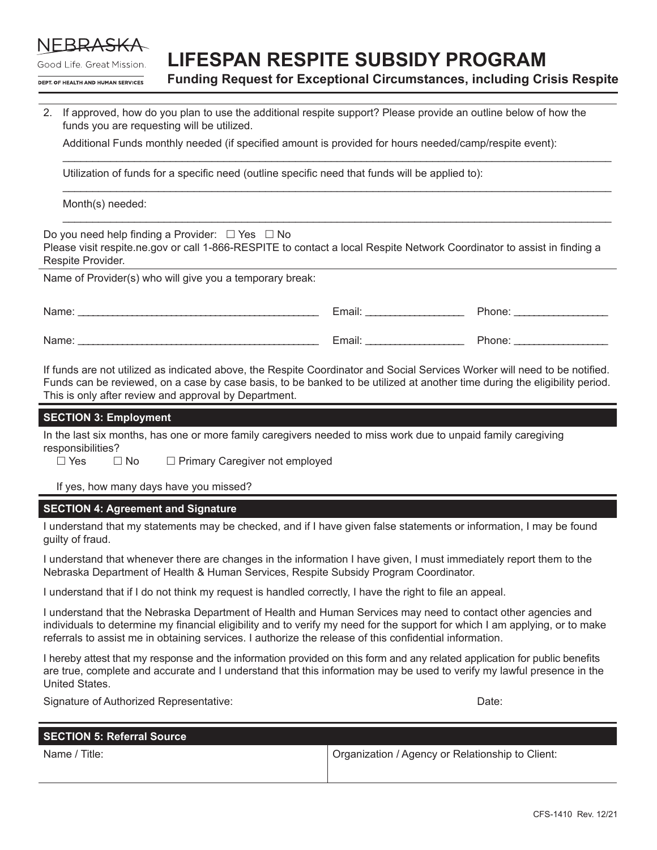

## **LIFESPAN RESPITE SUBSIDY PROGRAM**

Good Life. Great Mission. DEPT OF HEALTH AND HUMAN SERVICES

**Funding Request for Exceptional Circumstances, including Crisis Respite**

2. If approved, how do you plan to use the additional respite support? Please provide an outline below of how the funds you are requesting will be utilized.

\_\_\_\_\_\_\_\_\_\_\_\_\_\_\_\_\_\_\_\_\_\_\_\_\_\_\_\_\_\_\_\_\_\_\_\_\_\_\_\_\_\_\_\_\_\_\_\_\_\_\_\_\_\_\_\_\_\_\_\_\_\_\_\_\_\_\_\_\_\_\_\_\_\_\_\_\_\_\_\_\_\_\_\_\_\_\_\_\_\_\_\_

\_\_\_\_\_\_\_\_\_\_\_\_\_\_\_\_\_\_\_\_\_\_\_\_\_\_\_\_\_\_\_\_\_\_\_\_\_\_\_\_\_\_\_\_\_\_\_\_\_\_\_\_\_\_\_\_\_\_\_\_\_\_\_\_\_\_\_\_\_\_\_\_\_\_\_\_\_\_\_\_\_\_\_\_\_\_\_\_\_\_\_\_

\_\_\_\_\_\_\_\_\_\_\_\_\_\_\_\_\_\_\_\_\_\_\_\_\_\_\_\_\_\_\_\_\_\_\_\_\_\_\_\_\_\_\_\_\_\_\_\_\_\_\_\_\_\_\_\_\_\_\_\_\_\_\_\_\_\_\_\_\_\_\_\_\_\_\_\_\_\_\_\_\_\_\_\_\_\_\_\_\_\_\_\_

Additional Funds monthly needed (if specified amount is provided for hours needed/camp/respite event):

Utilization of funds for a specific need (outline specific need that funds will be applied to):

Month(s) needed:

Do you need help finding a Provider:  $\Box$  Yes  $\Box$  No Please visit respite.ne.gov or call 1-866-RESPITE to contact a local Respite Network Coordinator to assist in finding a Respite Provider.

Name of Provider(s) who will give you a temporary break:

| Name. | $\cdot$ .<br>-<br>Email: | าone |
|-------|--------------------------|------|
| Name. | -<br>Email.              | none |

If funds are not utilized as indicated above, the Respite Coordinator and Social Services Worker will need to be notified. Funds can be reviewed, on a case by case basis, to be banked to be utilized at another time during the eligibility period. This is only after review and approval by Department.

#### **SECTION 3: Employment**

In the last six months, has one or more family caregivers needed to miss work due to unpaid family caregiving responsibilities?<br>□ Yes

 $\Box$  No  $\Box$  Primary Caregiver not employed

If yes, how many days have you missed?

#### **SECTION 4: Agreement and Signature**

I understand that my statements may be checked, and if I have given false statements or information, I may be found guilty of fraud.

I understand that whenever there are changes in the information I have given, I must immediately report them to the Nebraska Department of Health & Human Services, Respite Subsidy Program Coordinator.

I understand that if I do not think my request is handled correctly, I have the right to file an appeal.

I understand that the Nebraska Department of Health and Human Services may need to contact other agencies and individuals to determine my financial eligibility and to verify my need for the support for which I am applying, or to make referrals to assist me in obtaining services. I authorize the release of this confidential information.

I hereby attest that my response and the information provided on this form and any related application for public benefits are true, complete and accurate and I understand that this information may be used to verify my lawful presence in the United States.

Signature of Authorized Representative: **Date:** Date: Date: Date: Date: Date: Date: Date: Date: Date: Date: Date: Date: Date: Date: Date: Date: Date: Date: Date: Date: Date: Date: Date: Date: Date: Date: Date: Date: Date:

| <b>SECTION 5: Referral Source</b> |                                                  |
|-----------------------------------|--------------------------------------------------|
| Name / Title:                     | Organization / Agency or Relationship to Client: |